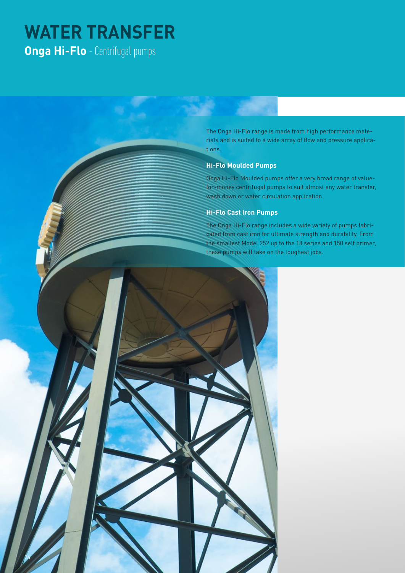# **WATER TRANSFER Onga Hi-Flo** - Centrifugal pumps

The Onga Hi-Flo range is made from high performance materials and is suited to a wide array of flow and pressure applications.

#### **Hi-Flo Moulded Pumps**

Onga Hi-Flo Moulded pumps offer a very broad range of valuefor-money centrifugal pumps to suit almost any water transfer, wash down or water circulation application.

### **Hi-Flo Cast Iron Pumps**

The Onga Hi-Flo range includes a wide variety of pumps fabricated from cast iron for ultimate strength and durability. From the smallest Model 252 up to the 18 series and 150 self primer, these pumps will take on the toughest jobs.

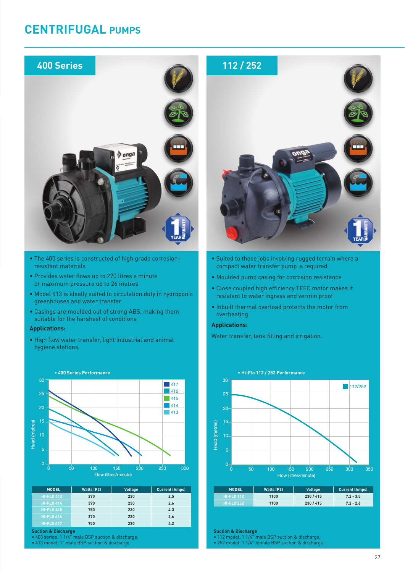## **CENTRIFUGAL PUMPS**



- The 400 series is constructed of high grade corrosionresistant materials
- Provides water flows up to 270 litres a minute or maximum pressure up to 26 metres
- Model 413 is ideally suited to circulation duty in hydroponic greenhouses and water transfer
- Casings are moulded out of strong ABS, making them suitable for the harshest of conditions

#### **Applications:**

• High flow water transfer, light industrial and animal hygiene stations.



| <b>MODEL</b>      | <b>Watts (P2)</b> | <b>Voltage</b> | <b>Current (Amps)</b> |
|-------------------|-------------------|----------------|-----------------------|
| <b>HI-FLO 413</b> | 370               | 230            | 2.5                   |
| <b>HI-FLO 414</b> | 370               | 230            | 2.6                   |
| <b>HI-FLO 415</b> | 750               | 230            | 4.3                   |
| <b>HI-FLO 416</b> | 370               | 230            | 2.6                   |
| <b>HI-FLO 417</b> | 750               | 230            | 4.2                   |

**Suction & Discharge**

• 400 series: 1 1/4" male BSP suction & discharge.

• 413 model: 1" male BSP suction & discharge.



- Suited to those jobs involving rugged terrain where a compact water transfer pump is required
- Moulded pump casing for corrosion resistance
- Close coupled high efficiency TEFC motor makes it resistant to water ingress and vermin proof
- Inbuilt thermal overload protects the motor from overheating

#### **Applications:**

Water transfer, tank filling and irrigation.



| 230/415<br>1100<br>$7.2 - 3.5$<br><b>HI-FLO 112</b> | <b>MODEL</b> | <b>Watts (P2)</b> | <b>Voltage</b> | <b>Current (Amps)</b> |
|-----------------------------------------------------|--------------|-------------------|----------------|-----------------------|
|                                                     |              |                   |                |                       |
| 230/415<br>1100<br>$7.2 - 2.6$<br><b>HI-FLO 252</b> |              |                   |                |                       |

**Suction & Discharge**

- 112 model: 1 1/4" male BSP suction & discharge.
- 252 model: 1 1/4" female BSP suction & discharge.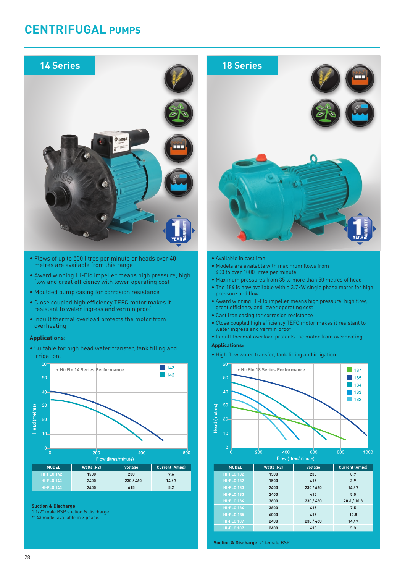## **CENTRIFUGAL PUMPS**



- Cast Iron casing for corrosion resistance
- Close coupled high efficiency TEFC motor makes it resistant to water ingress and vermin proof
- Inbuilt thermal overload protects the motor from overheating

#### **Applications:**

• High flow water transfer, tank filling and irrigation.



| <b>MODEL</b>      | <b>Watts (P2)</b> | <b>Voltage</b> | <b>Current (Amps)</b> |
|-------------------|-------------------|----------------|-----------------------|
| <b>HI-FLO 182</b> | 1500              | 230            | 8.9                   |
| <b>HI-FLO 182</b> | 1500              | 415            | 3.9                   |
| <b>HI-FLO 183</b> | 2400              | 230 / 460      | 14/7                  |
| <b>HI-FLO 183</b> | 2400              | 415            | 5.5                   |
| <b>HI-FLO 184</b> | 3800              | 230 / 460      | 20.6 / 10.3           |
| <b>HI-FLO 184</b> | 3800              | 415            | 7.5                   |
| <b>HI-FLO 185</b> | 6000              | 415            | 12.8                  |
| <b>HI-FLO 187</b> | 2400              | 230 / 460      | 14/7                  |
| <b>HI-FLO 187</b> | 2400              | 415            | 5.3                   |

**Suction & Discharge** 2" female BSP

- resistant to water ingress and vermin proof
- Inbuilt thermal overload protects the motor from overheating

#### **Applications:**

• Suitable for high head water transfer, tank filling and irrigation.



**Suction & Discharge**

- 1 1/2" male BSP suction & discharge.
- \*143 model available in 3 phase.